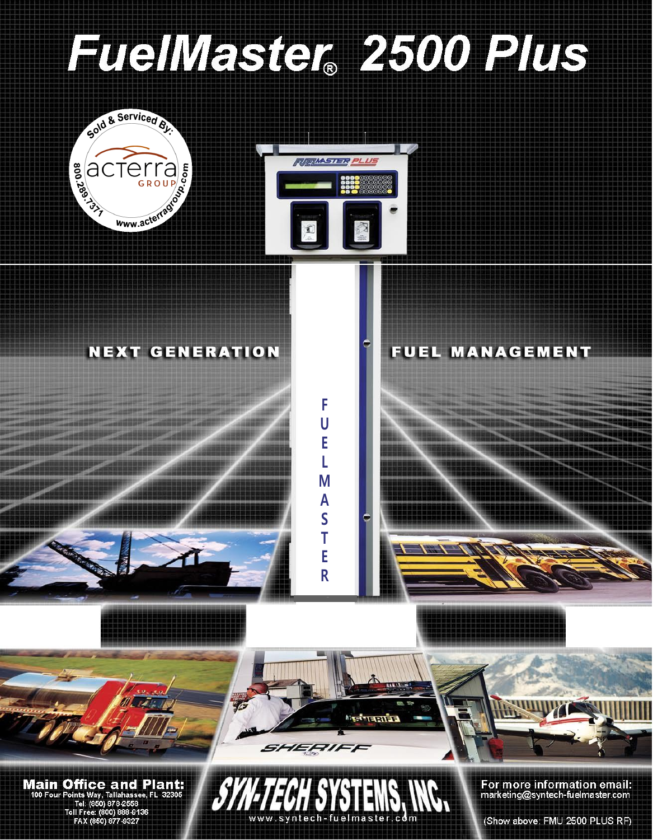

(Show above: FMU 2500 PLUS RF)